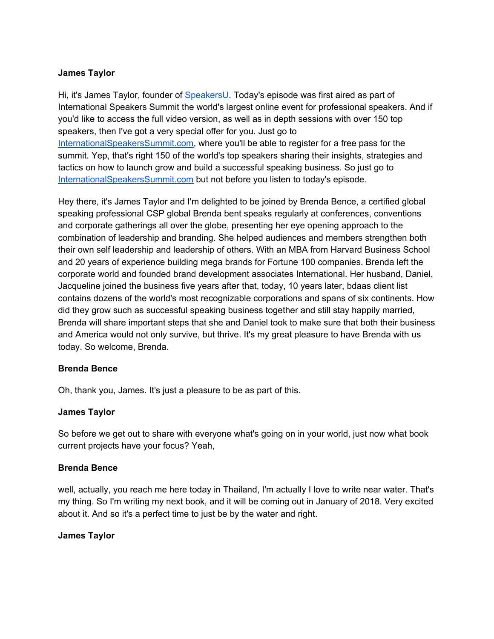#### **James Taylor**

Hi, it's James Taylor, founder of [SpeakersU.](https://speakersu.com/) Today's episode was first aired as part of International Speakers Summit the world's largest online event for professional speakers. And if you'd like to access the full video version, as well as in depth sessions with over 150 top speakers, then I've got a very special offer for you. Just go to [InternationalSpeakersSummit.com](http://internationalspeakerssummit.com/), where you'll be able to register for a free pass for the summit. Yep, that's right 150 of the world's top speakers sharing their insights, strategies and tactics on how to launch grow and build a successful speaking business. So just go t[o](http://internationalspeakerssummit.com/) [InternationalSpeakersSummit.com](http://internationalspeakerssummit.com/) but not before you listen to today's episode.

Hey there, it's James Taylor and I'm delighted to be joined by Brenda Bence, a certified global speaking professional CSP global Brenda bent speaks regularly at conferences, conventions and corporate gatherings all over the globe, presenting her eye opening approach to the combination of leadership and branding. She helped audiences and members strengthen both their own self leadership and leadership of others. With an MBA from Harvard Business School and 20 years of experience building mega brands for Fortune 100 companies. Brenda left the corporate world and founded brand development associates International. Her husband, Daniel, Jacqueline joined the business five years after that, today, 10 years later, bdaas client list contains dozens of the world's most recognizable corporations and spans of six continents. How did they grow such as successful speaking business together and still stay happily married, Brenda will share important steps that she and Daniel took to make sure that both their business and America would not only survive, but thrive. It's my great pleasure to have Brenda with us today. So welcome, Brenda.

#### **Brenda Bence**

Oh, thank you, James. It's just a pleasure to be as part of this.

#### **James Taylor**

So before we get out to share with everyone what's going on in your world, just now what book current projects have your focus? Yeah,

#### **Brenda Bence**

well, actually, you reach me here today in Thailand, I'm actually I love to write near water. That's my thing. So I'm writing my next book, and it will be coming out in January of 2018. Very excited about it. And so it's a perfect time to just be by the water and right.

#### **James Taylor**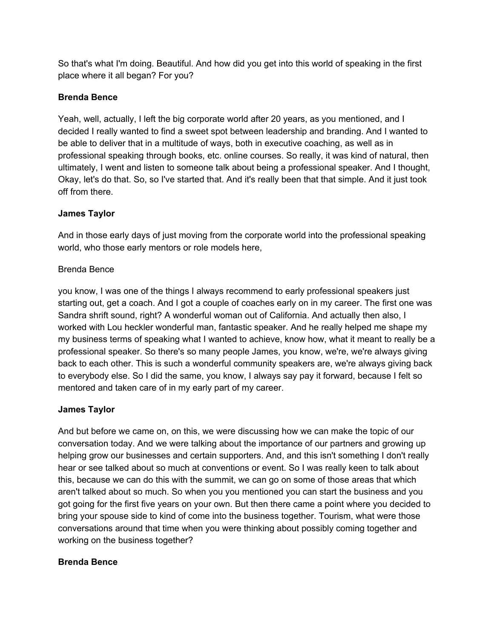So that's what I'm doing. Beautiful. And how did you get into this world of speaking in the first place where it all began? For you?

# **Brenda Bence**

Yeah, well, actually, I left the big corporate world after 20 years, as you mentioned, and I decided I really wanted to find a sweet spot between leadership and branding. And I wanted to be able to deliver that in a multitude of ways, both in executive coaching, as well as in professional speaking through books, etc. online courses. So really, it was kind of natural, then ultimately, I went and listen to someone talk about being a professional speaker. And I thought, Okay, let's do that. So, so I've started that. And it's really been that that simple. And it just took off from there.

# **James Taylor**

And in those early days of just moving from the corporate world into the professional speaking world, who those early mentors or role models here,

# Brenda Bence

you know, I was one of the things I always recommend to early professional speakers just starting out, get a coach. And I got a couple of coaches early on in my career. The first one was Sandra shrift sound, right? A wonderful woman out of California. And actually then also, I worked with Lou heckler wonderful man, fantastic speaker. And he really helped me shape my my business terms of speaking what I wanted to achieve, know how, what it meant to really be a professional speaker. So there's so many people James, you know, we're, we're always giving back to each other. This is such a wonderful community speakers are, we're always giving back to everybody else. So I did the same, you know, I always say pay it forward, because I felt so mentored and taken care of in my early part of my career.

# **James Taylor**

And but before we came on, on this, we were discussing how we can make the topic of our conversation today. And we were talking about the importance of our partners and growing up helping grow our businesses and certain supporters. And, and this isn't something I don't really hear or see talked about so much at conventions or event. So I was really keen to talk about this, because we can do this with the summit, we can go on some of those areas that which aren't talked about so much. So when you you mentioned you can start the business and you got going for the first five years on your own. But then there came a point where you decided to bring your spouse side to kind of come into the business together. Tourism, what were those conversations around that time when you were thinking about possibly coming together and working on the business together?

# **Brenda Bence**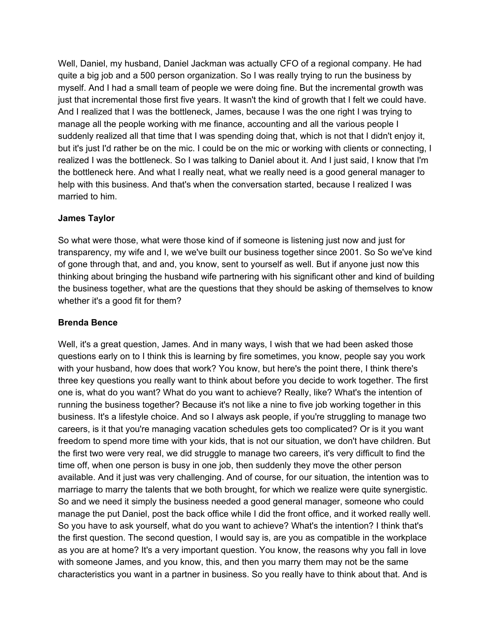Well, Daniel, my husband, Daniel Jackman was actually CFO of a regional company. He had quite a big job and a 500 person organization. So I was really trying to run the business by myself. And I had a small team of people we were doing fine. But the incremental growth was just that incremental those first five years. It wasn't the kind of growth that I felt we could have. And I realized that I was the bottleneck, James, because I was the one right I was trying to manage all the people working with me finance, accounting and all the various people I suddenly realized all that time that I was spending doing that, which is not that I didn't enjoy it, but it's just I'd rather be on the mic. I could be on the mic or working with clients or connecting, I realized I was the bottleneck. So I was talking to Daniel about it. And I just said, I know that I'm the bottleneck here. And what I really neat, what we really need is a good general manager to help with this business. And that's when the conversation started, because I realized I was married to him.

#### **James Taylor**

So what were those, what were those kind of if someone is listening just now and just for transparency, my wife and I, we we've built our business together since 2001. So So we've kind of gone through that, and and, you know, sent to yourself as well. But if anyone just now this thinking about bringing the husband wife partnering with his significant other and kind of building the business together, what are the questions that they should be asking of themselves to know whether it's a good fit for them?

# **Brenda Bence**

Well, it's a great question, James. And in many ways, I wish that we had been asked those questions early on to I think this is learning by fire sometimes, you know, people say you work with your husband, how does that work? You know, but here's the point there, I think there's three key questions you really want to think about before you decide to work together. The first one is, what do you want? What do you want to achieve? Really, like? What's the intention of running the business together? Because it's not like a nine to five job working together in this business. It's a lifestyle choice. And so I always ask people, if you're struggling to manage two careers, is it that you're managing vacation schedules gets too complicated? Or is it you want freedom to spend more time with your kids, that is not our situation, we don't have children. But the first two were very real, we did struggle to manage two careers, it's very difficult to find the time off, when one person is busy in one job, then suddenly they move the other person available. And it just was very challenging. And of course, for our situation, the intention was to marriage to marry the talents that we both brought, for which we realize were quite synergistic. So and we need it simply the business needed a good general manager, someone who could manage the put Daniel, post the back office while I did the front office, and it worked really well. So you have to ask yourself, what do you want to achieve? What's the intention? I think that's the first question. The second question, I would say is, are you as compatible in the workplace as you are at home? It's a very important question. You know, the reasons why you fall in love with someone James, and you know, this, and then you marry them may not be the same characteristics you want in a partner in business. So you really have to think about that. And is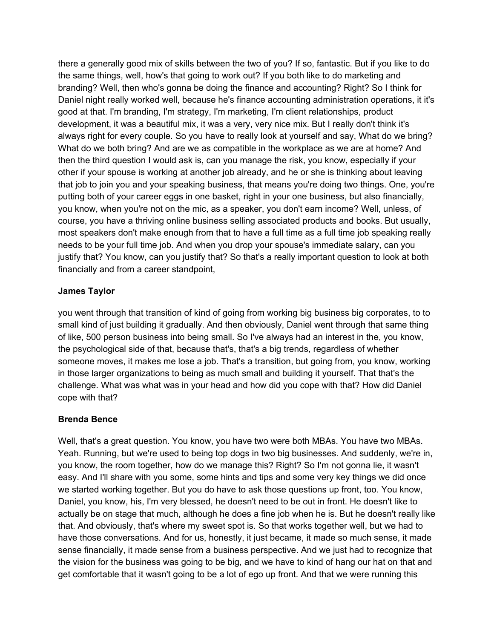there a generally good mix of skills between the two of you? If so, fantastic. But if you like to do the same things, well, how's that going to work out? If you both like to do marketing and branding? Well, then who's gonna be doing the finance and accounting? Right? So I think for Daniel night really worked well, because he's finance accounting administration operations, it it's good at that. I'm branding, I'm strategy, I'm marketing, I'm client relationships, product development, it was a beautiful mix, it was a very, very nice mix. But I really don't think it's always right for every couple. So you have to really look at yourself and say, What do we bring? What do we both bring? And are we as compatible in the workplace as we are at home? And then the third question I would ask is, can you manage the risk, you know, especially if your other if your spouse is working at another job already, and he or she is thinking about leaving that job to join you and your speaking business, that means you're doing two things. One, you're putting both of your career eggs in one basket, right in your one business, but also financially, you know, when you're not on the mic, as a speaker, you don't earn income? Well, unless, of course, you have a thriving online business selling associated products and books. But usually, most speakers don't make enough from that to have a full time as a full time job speaking really needs to be your full time job. And when you drop your spouse's immediate salary, can you justify that? You know, can you justify that? So that's a really important question to look at both financially and from a career standpoint,

#### **James Taylor**

you went through that transition of kind of going from working big business big corporates, to to small kind of just building it gradually. And then obviously, Daniel went through that same thing of like, 500 person business into being small. So I've always had an interest in the, you know, the psychological side of that, because that's, that's a big trends, regardless of whether someone moves, it makes me lose a job. That's a transition, but going from, you know, working in those larger organizations to being as much small and building it yourself. That that's the challenge. What was what was in your head and how did you cope with that? How did Daniel cope with that?

#### **Brenda Bence**

Well, that's a great question. You know, you have two were both MBAs. You have two MBAs. Yeah. Running, but we're used to being top dogs in two big businesses. And suddenly, we're in, you know, the room together, how do we manage this? Right? So I'm not gonna lie, it wasn't easy. And I'll share with you some, some hints and tips and some very key things we did once we started working together. But you do have to ask those questions up front, too. You know, Daniel, you know, his, I'm very blessed, he doesn't need to be out in front. He doesn't like to actually be on stage that much, although he does a fine job when he is. But he doesn't really like that. And obviously, that's where my sweet spot is. So that works together well, but we had to have those conversations. And for us, honestly, it just became, it made so much sense, it made sense financially, it made sense from a business perspective. And we just had to recognize that the vision for the business was going to be big, and we have to kind of hang our hat on that and get comfortable that it wasn't going to be a lot of ego up front. And that we were running this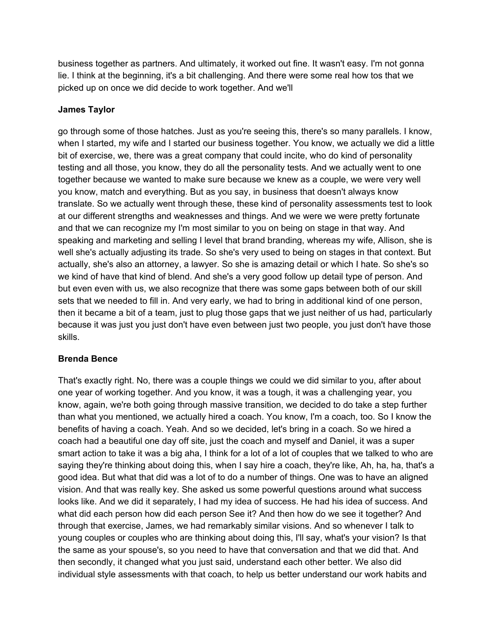business together as partners. And ultimately, it worked out fine. It wasn't easy. I'm not gonna lie. I think at the beginning, it's a bit challenging. And there were some real how tos that we picked up on once we did decide to work together. And we'll

#### **James Taylor**

go through some of those hatches. Just as you're seeing this, there's so many parallels. I know, when I started, my wife and I started our business together. You know, we actually we did a little bit of exercise, we, there was a great company that could incite, who do kind of personality testing and all those, you know, they do all the personality tests. And we actually went to one together because we wanted to make sure because we knew as a couple, we were very well you know, match and everything. But as you say, in business that doesn't always know translate. So we actually went through these, these kind of personality assessments test to look at our different strengths and weaknesses and things. And we were we were pretty fortunate and that we can recognize my I'm most similar to you on being on stage in that way. And speaking and marketing and selling I level that brand branding, whereas my wife, Allison, she is well she's actually adjusting its trade. So she's very used to being on stages in that context. But actually, she's also an attorney, a lawyer. So she is amazing detail or which I hate. So she's so we kind of have that kind of blend. And she's a very good follow up detail type of person. And but even even with us, we also recognize that there was some gaps between both of our skill sets that we needed to fill in. And very early, we had to bring in additional kind of one person, then it became a bit of a team, just to plug those gaps that we just neither of us had, particularly because it was just you just don't have even between just two people, you just don't have those skills.

#### **Brenda Bence**

That's exactly right. No, there was a couple things we could we did similar to you, after about one year of working together. And you know, it was a tough, it was a challenging year, you know, again, we're both going through massive transition, we decided to do take a step further than what you mentioned, we actually hired a coach. You know, I'm a coach, too. So I know the benefits of having a coach. Yeah. And so we decided, let's bring in a coach. So we hired a coach had a beautiful one day off site, just the coach and myself and Daniel, it was a super smart action to take it was a big aha, I think for a lot of a lot of couples that we talked to who are saying they're thinking about doing this, when I say hire a coach, they're like, Ah, ha, ha, that's a good idea. But what that did was a lot of to do a number of things. One was to have an aligned vision. And that was really key. She asked us some powerful questions around what success looks like. And we did it separately, I had my idea of success. He had his idea of success. And what did each person how did each person See it? And then how do we see it together? And through that exercise, James, we had remarkably similar visions. And so whenever I talk to young couples or couples who are thinking about doing this, I'll say, what's your vision? Is that the same as your spouse's, so you need to have that conversation and that we did that. And then secondly, it changed what you just said, understand each other better. We also did individual style assessments with that coach, to help us better understand our work habits and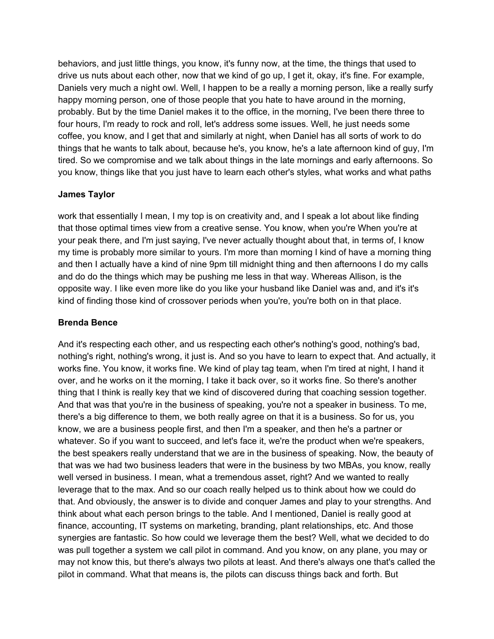behaviors, and just little things, you know, it's funny now, at the time, the things that used to drive us nuts about each other, now that we kind of go up, I get it, okay, it's fine. For example, Daniels very much a night owl. Well, I happen to be a really a morning person, like a really surfy happy morning person, one of those people that you hate to have around in the morning, probably. But by the time Daniel makes it to the office, in the morning, I've been there three to four hours, I'm ready to rock and roll, let's address some issues. Well, he just needs some coffee, you know, and I get that and similarly at night, when Daniel has all sorts of work to do things that he wants to talk about, because he's, you know, he's a late afternoon kind of guy, I'm tired. So we compromise and we talk about things in the late mornings and early afternoons. So you know, things like that you just have to learn each other's styles, what works and what paths

# **James Taylor**

work that essentially I mean, I my top is on creativity and, and I speak a lot about like finding that those optimal times view from a creative sense. You know, when you're When you're at your peak there, and I'm just saying, I've never actually thought about that, in terms of, I know my time is probably more similar to yours. I'm more than morning I kind of have a morning thing and then I actually have a kind of nine 9pm till midnight thing and then afternoons I do my calls and do do the things which may be pushing me less in that way. Whereas Allison, is the opposite way. I like even more like do you like your husband like Daniel was and, and it's it's kind of finding those kind of crossover periods when you're, you're both on in that place.

# **Brenda Bence**

And it's respecting each other, and us respecting each other's nothing's good, nothing's bad, nothing's right, nothing's wrong, it just is. And so you have to learn to expect that. And actually, it works fine. You know, it works fine. We kind of play tag team, when I'm tired at night, I hand it over, and he works on it the morning, I take it back over, so it works fine. So there's another thing that I think is really key that we kind of discovered during that coaching session together. And that was that you're in the business of speaking, you're not a speaker in business. To me, there's a big difference to them, we both really agree on that it is a business. So for us, you know, we are a business people first, and then I'm a speaker, and then he's a partner or whatever. So if you want to succeed, and let's face it, we're the product when we're speakers, the best speakers really understand that we are in the business of speaking. Now, the beauty of that was we had two business leaders that were in the business by two MBAs, you know, really well versed in business. I mean, what a tremendous asset, right? And we wanted to really leverage that to the max. And so our coach really helped us to think about how we could do that. And obviously, the answer is to divide and conquer James and play to your strengths. And think about what each person brings to the table. And I mentioned, Daniel is really good at finance, accounting, IT systems on marketing, branding, plant relationships, etc. And those synergies are fantastic. So how could we leverage them the best? Well, what we decided to do was pull together a system we call pilot in command. And you know, on any plane, you may or may not know this, but there's always two pilots at least. And there's always one that's called the pilot in command. What that means is, the pilots can discuss things back and forth. But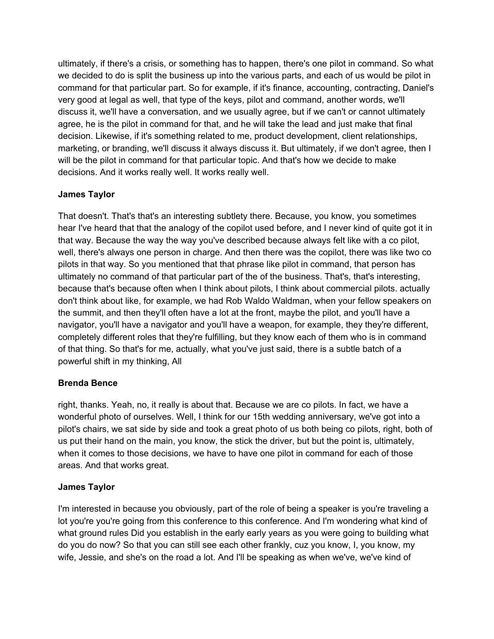ultimately, if there's a crisis, or something has to happen, there's one pilot in command. So what we decided to do is split the business up into the various parts, and each of us would be pilot in command for that particular part. So for example, if it's finance, accounting, contracting, Daniel's very good at legal as well, that type of the keys, pilot and command, another words, we'll discuss it, we'll have a conversation, and we usually agree, but if we can't or cannot ultimately agree, he is the pilot in command for that, and he will take the lead and just make that final decision. Likewise, if it's something related to me, product development, client relationships, marketing, or branding, we'll discuss it always discuss it. But ultimately, if we don't agree, then I will be the pilot in command for that particular topic. And that's how we decide to make decisions. And it works really well. It works really well.

# **James Taylor**

That doesn't. That's that's an interesting subtlety there. Because, you know, you sometimes hear I've heard that that the analogy of the copilot used before, and I never kind of quite got it in that way. Because the way the way you've described because always felt like with a co pilot, well, there's always one person in charge. And then there was the copilot, there was like two co pilots in that way. So you mentioned that that phrase like pilot in command, that person has ultimately no command of that particular part of the of the business. That's, that's interesting, because that's because often when I think about pilots, I think about commercial pilots. actually don't think about like, for example, we had Rob Waldo Waldman, when your fellow speakers on the summit, and then they'll often have a lot at the front, maybe the pilot, and you'll have a navigator, you'll have a navigator and you'll have a weapon, for example, they they're different, completely different roles that they're fulfilling, but they know each of them who is in command of that thing. So that's for me, actually, what you've just said, there is a subtle batch of a powerful shift in my thinking, All

# **Brenda Bence**

right, thanks. Yeah, no, it really is about that. Because we are co pilots. In fact, we have a wonderful photo of ourselves. Well, I think for our 15th wedding anniversary, we've got into a pilot's chairs, we sat side by side and took a great photo of us both being co pilots, right, both of us put their hand on the main, you know, the stick the driver, but but the point is, ultimately, when it comes to those decisions, we have to have one pilot in command for each of those areas. And that works great.

# **James Taylor**

I'm interested in because you obviously, part of the role of being a speaker is you're traveling a lot you're you're going from this conference to this conference. And I'm wondering what kind of what ground rules Did you establish in the early early years as you were going to building what do you do now? So that you can still see each other frankly, cuz you know, I, you know, my wife, Jessie, and she's on the road a lot. And I'll be speaking as when we've, we've kind of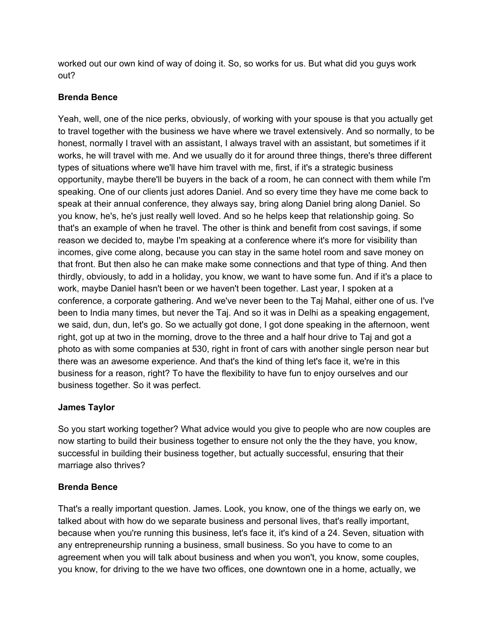worked out our own kind of way of doing it. So, so works for us. But what did you guys work out?

#### **Brenda Bence**

Yeah, well, one of the nice perks, obviously, of working with your spouse is that you actually get to travel together with the business we have where we travel extensively. And so normally, to be honest, normally I travel with an assistant, I always travel with an assistant, but sometimes if it works, he will travel with me. And we usually do it for around three things, there's three different types of situations where we'll have him travel with me, first, if it's a strategic business opportunity, maybe there'll be buyers in the back of a room, he can connect with them while I'm speaking. One of our clients just adores Daniel. And so every time they have me come back to speak at their annual conference, they always say, bring along Daniel bring along Daniel. So you know, he's, he's just really well loved. And so he helps keep that relationship going. So that's an example of when he travel. The other is think and benefit from cost savings, if some reason we decided to, maybe I'm speaking at a conference where it's more for visibility than incomes, give come along, because you can stay in the same hotel room and save money on that front. But then also he can make make some connections and that type of thing. And then thirdly, obviously, to add in a holiday, you know, we want to have some fun. And if it's a place to work, maybe Daniel hasn't been or we haven't been together. Last year, I spoken at a conference, a corporate gathering. And we've never been to the Taj Mahal, either one of us. I've been to India many times, but never the Taj. And so it was in Delhi as a speaking engagement, we said, dun, dun, let's go. So we actually got done, I got done speaking in the afternoon, went right, got up at two in the morning, drove to the three and a half hour drive to Taj and got a photo as with some companies at 530, right in front of cars with another single person near but there was an awesome experience. And that's the kind of thing let's face it, we're in this business for a reason, right? To have the flexibility to have fun to enjoy ourselves and our business together. So it was perfect.

# **James Taylor**

So you start working together? What advice would you give to people who are now couples are now starting to build their business together to ensure not only the the they have, you know, successful in building their business together, but actually successful, ensuring that their marriage also thrives?

# **Brenda Bence**

That's a really important question. James. Look, you know, one of the things we early on, we talked about with how do we separate business and personal lives, that's really important, because when you're running this business, let's face it, it's kind of a 24. Seven, situation with any entrepreneurship running a business, small business. So you have to come to an agreement when you will talk about business and when you won't, you know, some couples, you know, for driving to the we have two offices, one downtown one in a home, actually, we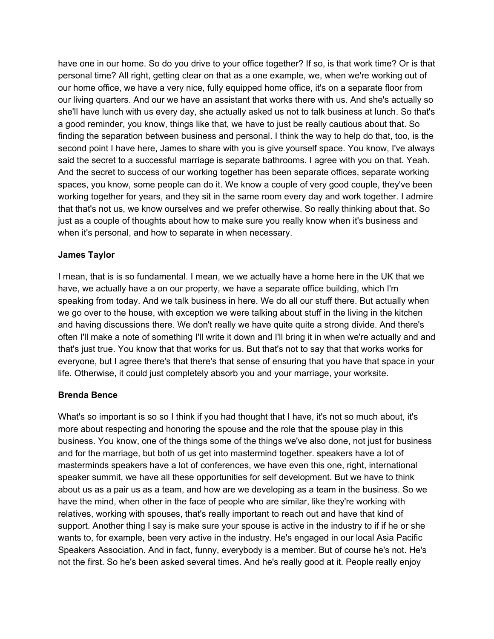have one in our home. So do you drive to your office together? If so, is that work time? Or is that personal time? All right, getting clear on that as a one example, we, when we're working out of our home office, we have a very nice, fully equipped home office, it's on a separate floor from our living quarters. And our we have an assistant that works there with us. And she's actually so she'll have lunch with us every day, she actually asked us not to talk business at lunch. So that's a good reminder, you know, things like that, we have to just be really cautious about that. So finding the separation between business and personal. I think the way to help do that, too, is the second point I have here, James to share with you is give yourself space. You know, I've always said the secret to a successful marriage is separate bathrooms. I agree with you on that. Yeah. And the secret to success of our working together has been separate offices, separate working spaces, you know, some people can do it. We know a couple of very good couple, they've been working together for years, and they sit in the same room every day and work together. I admire that that's not us, we know ourselves and we prefer otherwise. So really thinking about that. So just as a couple of thoughts about how to make sure you really know when it's business and when it's personal, and how to separate in when necessary.

#### **James Taylor**

I mean, that is is so fundamental. I mean, we we actually have a home here in the UK that we have, we actually have a on our property, we have a separate office building, which I'm speaking from today. And we talk business in here. We do all our stuff there. But actually when we go over to the house, with exception we were talking about stuff in the living in the kitchen and having discussions there. We don't really we have quite quite a strong divide. And there's often I'll make a note of something I'll write it down and I'll bring it in when we're actually and and that's just true. You know that that works for us. But that's not to say that that works works for everyone, but I agree there's that there's that sense of ensuring that you have that space in your life. Otherwise, it could just completely absorb you and your marriage, your worksite.

# **Brenda Bence**

What's so important is so so I think if you had thought that I have, it's not so much about, it's more about respecting and honoring the spouse and the role that the spouse play in this business. You know, one of the things some of the things we've also done, not just for business and for the marriage, but both of us get into mastermind together. speakers have a lot of masterminds speakers have a lot of conferences, we have even this one, right, international speaker summit, we have all these opportunities for self development. But we have to think about us as a pair us as a team, and how are we developing as a team in the business. So we have the mind, when other in the face of people who are similar, like they're working with relatives, working with spouses, that's really important to reach out and have that kind of support. Another thing I say is make sure your spouse is active in the industry to if if he or she wants to, for example, been very active in the industry. He's engaged in our local Asia Pacific Speakers Association. And in fact, funny, everybody is a member. But of course he's not. He's not the first. So he's been asked several times. And he's really good at it. People really enjoy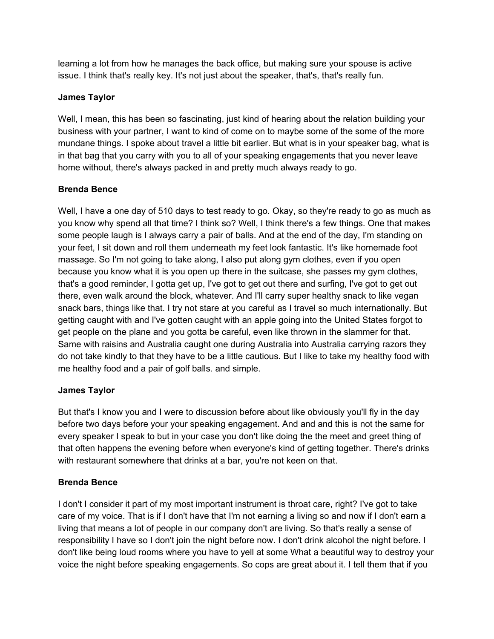learning a lot from how he manages the back office, but making sure your spouse is active issue. I think that's really key. It's not just about the speaker, that's, that's really fun.

# **James Taylor**

Well, I mean, this has been so fascinating, just kind of hearing about the relation building your business with your partner, I want to kind of come on to maybe some of the some of the more mundane things. I spoke about travel a little bit earlier. But what is in your speaker bag, what is in that bag that you carry with you to all of your speaking engagements that you never leave home without, there's always packed in and pretty much always ready to go.

# **Brenda Bence**

Well, I have a one day of 510 days to test ready to go. Okay, so they're ready to go as much as you know why spend all that time? I think so? Well, I think there's a few things. One that makes some people laugh is I always carry a pair of balls. And at the end of the day, I'm standing on your feet, I sit down and roll them underneath my feet look fantastic. It's like homemade foot massage. So I'm not going to take along, I also put along gym clothes, even if you open because you know what it is you open up there in the suitcase, she passes my gym clothes, that's a good reminder, I gotta get up, I've got to get out there and surfing, I've got to get out there, even walk around the block, whatever. And I'll carry super healthy snack to like vegan snack bars, things like that. I try not stare at you careful as I travel so much internationally. But getting caught with and I've gotten caught with an apple going into the United States forgot to get people on the plane and you gotta be careful, even like thrown in the slammer for that. Same with raisins and Australia caught one during Australia into Australia carrying razors they do not take kindly to that they have to be a little cautious. But I like to take my healthy food with me healthy food and a pair of golf balls. and simple.

#### **James Taylor**

But that's I know you and I were to discussion before about like obviously you'll fly in the day before two days before your your speaking engagement. And and and this is not the same for every speaker I speak to but in your case you don't like doing the the meet and greet thing of that often happens the evening before when everyone's kind of getting together. There's drinks with restaurant somewhere that drinks at a bar, you're not keen on that.

# **Brenda Bence**

I don't I consider it part of my most important instrument is throat care, right? I've got to take care of my voice. That is if I don't have that I'm not earning a living so and now if I don't earn a living that means a lot of people in our company don't are living. So that's really a sense of responsibility I have so I don't join the night before now. I don't drink alcohol the night before. I don't like being loud rooms where you have to yell at some What a beautiful way to destroy your voice the night before speaking engagements. So cops are great about it. I tell them that if you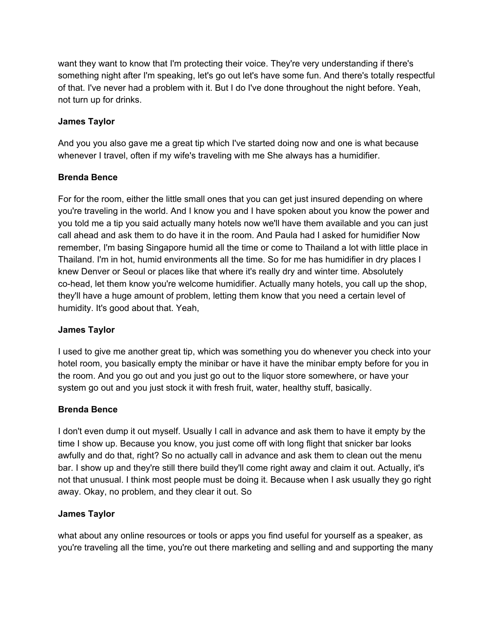want they want to know that I'm protecting their voice. They're very understanding if there's something night after I'm speaking, let's go out let's have some fun. And there's totally respectful of that. I've never had a problem with it. But I do I've done throughout the night before. Yeah, not turn up for drinks.

# **James Taylor**

And you you also gave me a great tip which I've started doing now and one is what because whenever I travel, often if my wife's traveling with me She always has a humidifier.

# **Brenda Bence**

For for the room, either the little small ones that you can get just insured depending on where you're traveling in the world. And I know you and I have spoken about you know the power and you told me a tip you said actually many hotels now we'll have them available and you can just call ahead and ask them to do have it in the room. And Paula had I asked for humidifier Now remember, I'm basing Singapore humid all the time or come to Thailand a lot with little place in Thailand. I'm in hot, humid environments all the time. So for me has humidifier in dry places I knew Denver or Seoul or places like that where it's really dry and winter time. Absolutely co-head, let them know you're welcome humidifier. Actually many hotels, you call up the shop, they'll have a huge amount of problem, letting them know that you need a certain level of humidity. It's good about that. Yeah,

# **James Taylor**

I used to give me another great tip, which was something you do whenever you check into your hotel room, you basically empty the minibar or have it have the minibar empty before for you in the room. And you go out and you just go out to the liquor store somewhere, or have your system go out and you just stock it with fresh fruit, water, healthy stuff, basically.

# **Brenda Bence**

I don't even dump it out myself. Usually I call in advance and ask them to have it empty by the time I show up. Because you know, you just come off with long flight that snicker bar looks awfully and do that, right? So no actually call in advance and ask them to clean out the menu bar. I show up and they're still there build they'll come right away and claim it out. Actually, it's not that unusual. I think most people must be doing it. Because when I ask usually they go right away. Okay, no problem, and they clear it out. So

# **James Taylor**

what about any online resources or tools or apps you find useful for yourself as a speaker, as you're traveling all the time, you're out there marketing and selling and and supporting the many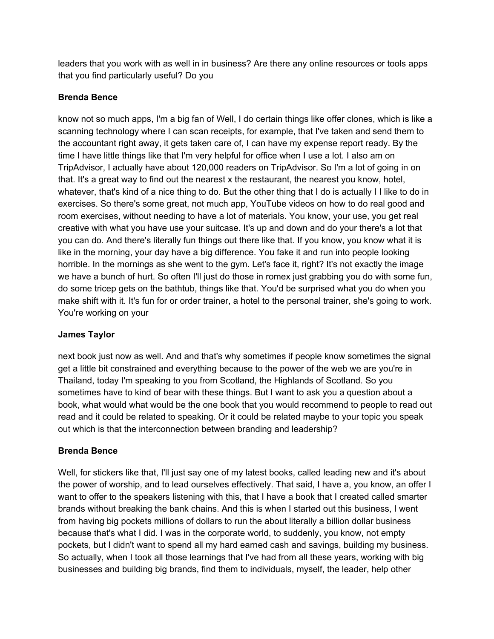leaders that you work with as well in in business? Are there any online resources or tools apps that you find particularly useful? Do you

# **Brenda Bence**

know not so much apps, I'm a big fan of Well, I do certain things like offer clones, which is like a scanning technology where I can scan receipts, for example, that I've taken and send them to the accountant right away, it gets taken care of, I can have my expense report ready. By the time I have little things like that I'm very helpful for office when I use a lot. I also am on TripAdvisor, I actually have about 120,000 readers on TripAdvisor. So I'm a lot of going in on that. It's a great way to find out the nearest x the restaurant, the nearest you know, hotel, whatever, that's kind of a nice thing to do. But the other thing that I do is actually I I like to do in exercises. So there's some great, not much app, YouTube videos on how to do real good and room exercises, without needing to have a lot of materials. You know, your use, you get real creative with what you have use your suitcase. It's up and down and do your there's a lot that you can do. And there's literally fun things out there like that. If you know, you know what it is like in the morning, your day have a big difference. You fake it and run into people looking horrible. In the mornings as she went to the gym. Let's face it, right? It's not exactly the image we have a bunch of hurt. So often I'll just do those in romex just grabbing you do with some fun, do some tricep gets on the bathtub, things like that. You'd be surprised what you do when you make shift with it. It's fun for or order trainer, a hotel to the personal trainer, she's going to work. You're working on your

# **James Taylor**

next book just now as well. And and that's why sometimes if people know sometimes the signal get a little bit constrained and everything because to the power of the web we are you're in Thailand, today I'm speaking to you from Scotland, the Highlands of Scotland. So you sometimes have to kind of bear with these things. But I want to ask you a question about a book, what would what would be the one book that you would recommend to people to read out read and it could be related to speaking. Or it could be related maybe to your topic you speak out which is that the interconnection between branding and leadership?

# **Brenda Bence**

Well, for stickers like that, I'll just say one of my latest books, called leading new and it's about the power of worship, and to lead ourselves effectively. That said, I have a, you know, an offer I want to offer to the speakers listening with this, that I have a book that I created called smarter brands without breaking the bank chains. And this is when I started out this business, I went from having big pockets millions of dollars to run the about literally a billion dollar business because that's what I did. I was in the corporate world, to suddenly, you know, not empty pockets, but I didn't want to spend all my hard earned cash and savings, building my business. So actually, when I took all those learnings that I've had from all these years, working with big businesses and building big brands, find them to individuals, myself, the leader, help other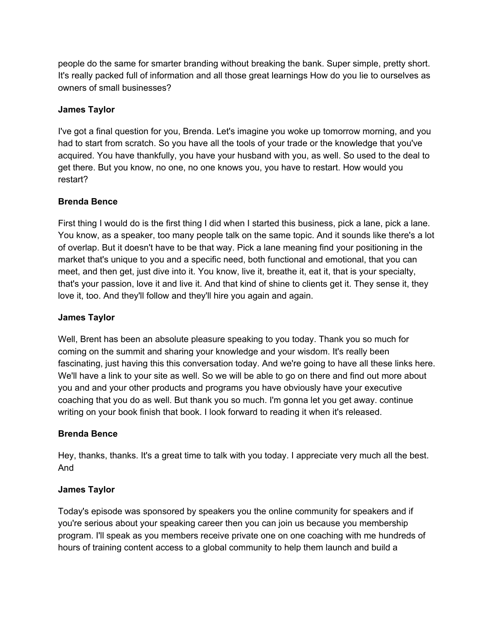people do the same for smarter branding without breaking the bank. Super simple, pretty short. It's really packed full of information and all those great learnings How do you lie to ourselves as owners of small businesses?

# **James Taylor**

I've got a final question for you, Brenda. Let's imagine you woke up tomorrow morning, and you had to start from scratch. So you have all the tools of your trade or the knowledge that you've acquired. You have thankfully, you have your husband with you, as well. So used to the deal to get there. But you know, no one, no one knows you, you have to restart. How would you restart?

#### **Brenda Bence**

First thing I would do is the first thing I did when I started this business, pick a lane, pick a lane. You know, as a speaker, too many people talk on the same topic. And it sounds like there's a lot of overlap. But it doesn't have to be that way. Pick a lane meaning find your positioning in the market that's unique to you and a specific need, both functional and emotional, that you can meet, and then get, just dive into it. You know, live it, breathe it, eat it, that is your specialty, that's your passion, love it and live it. And that kind of shine to clients get it. They sense it, they love it, too. And they'll follow and they'll hire you again and again.

#### **James Taylor**

Well, Brent has been an absolute pleasure speaking to you today. Thank you so much for coming on the summit and sharing your knowledge and your wisdom. It's really been fascinating, just having this this conversation today. And we're going to have all these links here. We'll have a link to your site as well. So we will be able to go on there and find out more about you and and your other products and programs you have obviously have your executive coaching that you do as well. But thank you so much. I'm gonna let you get away. continue writing on your book finish that book. I look forward to reading it when it's released.

#### **Brenda Bence**

Hey, thanks, thanks. It's a great time to talk with you today. I appreciate very much all the best. And

#### **James Taylor**

Today's episode was sponsored by speakers you the online community for speakers and if you're serious about your speaking career then you can join us because you membership program. I'll speak as you members receive private one on one coaching with me hundreds of hours of training content access to a global community to help them launch and build a